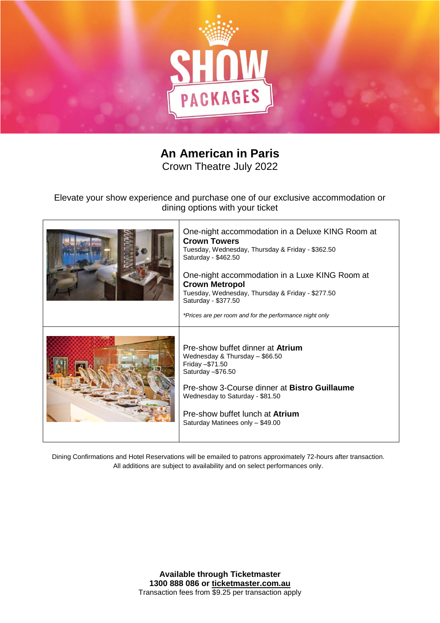

## **An American in Paris**

Crown Theatre July 2022

Elevate your show experience and purchase one of our exclusive accommodation or dining options with your ticket

 $\top$ 

Г

| One-night accommodation in a Deluxe KING Room at<br><b>Crown Towers</b><br>Tuesday, Wednesday, Thursday & Friday - \$362.50<br>Saturday - \$462.50<br>One-night accommodation in a Luxe KING Room at<br><b>Crown Metropol</b><br>Tuesday, Wednesday, Thursday & Friday - \$277.50<br>Saturday - \$377.50<br>*Prices are per room and for the performance night only |
|---------------------------------------------------------------------------------------------------------------------------------------------------------------------------------------------------------------------------------------------------------------------------------------------------------------------------------------------------------------------|
| Pre-show buffet dinner at <b>Atrium</b><br>Wednesday & Thursday - \$66.50<br>Friday - \$71.50<br>Saturday - \$76.50<br>Pre-show 3-Course dinner at Bistro Guillaume<br>Wednesday to Saturday - \$81.50<br>Pre-show buffet lunch at Atrium<br>Saturday Matinees only - \$49.00                                                                                       |

Dining Confirmations and Hotel Reservations will be emailed to patrons approximately 72-hours after transaction. All additions are subject to availability and on select performances only.

> **Available through Ticketmaster 1300 888 086 or ticketmaster.com.au** Transaction fees from \$9.25 per transaction apply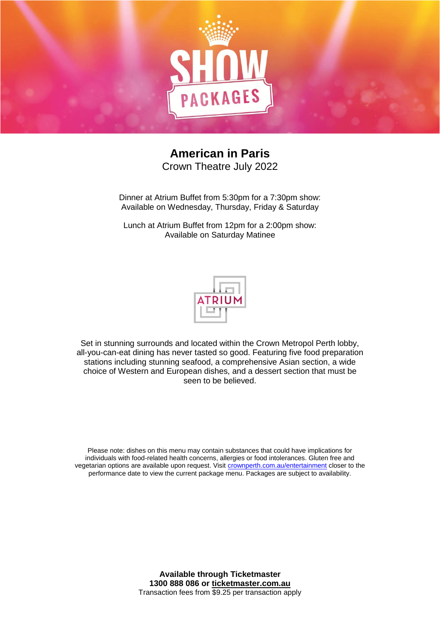

## **American in Paris** Crown Theatre July 2022

Dinner at Atrium Buffet from 5:30pm for a 7:30pm show: Available on Wednesday, Thursday, Friday & Saturday

Lunch at Atrium Buffet from 12pm for a 2:00pm show: Available on Saturday Matinee



Set in stunning surrounds and located within the Crown Metropol Perth lobby, all-you-can-eat dining has never tasted so good. Featuring five food preparation stations including stunning seafood, a comprehensive Asian section, a wide choice of Western and European dishes, and a dessert section that must be seen to be believed.

Please note: dishes on this menu may contain substances that could have implications for individuals with food-related health concerns, allergies or food intolerances. Gluten free and vegetarian options are available upon request. Visit [crownperth.com.au/entertainment](http://www.crownperth.com.au/entertainment/) closer to the performance date to view the current package menu. Packages are subject to availability.

> **Available through Ticketmaster 1300 888 086 or ticketmaster.com.au** Transaction fees from \$9.25 per transaction apply